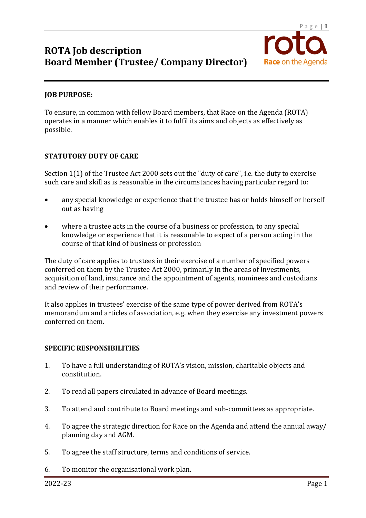

### **JOB PURPOSE:**

To ensure, in common with fellow Board members, that Race on the Agenda (ROTA) operates in a manner which enables it to fulfil its aims and objects as effectively as possible.

### **STATUTORY DUTY OF CARE**

Section  $1(1)$  of the Trustee Act 2000 sets out the "duty of care", i.e. the duty to exercise such care and skill as is reasonable in the circumstances having particular regard to:

- any special knowledge or experience that the trustee has or holds himself or herself out as having
- where a trustee acts in the course of a business or profession, to any special knowledge or experience that it is reasonable to expect of a person acting in the course of that kind of business or profession

The duty of care applies to trustees in their exercise of a number of specified powers conferred on them by the Trustee Act 2000, primarily in the areas of investments, acquisition of land, insurance and the appointment of agents, nominees and custodians and review of their performance.

It also applies in trustees' exercise of the same type of power derived from ROTA's memorandum and articles of association, e.g. when they exercise any investment powers conferred on them.

### **SPECIFIC RESPONSIBILITIES**

- 1. To have a full understanding of ROTA's vision, mission, charitable objects and constitution.
- 2. To read all papers circulated in advance of Board meetings.
- 3. To attend and contribute to Board meetings and sub-committees as appropriate.
- 4. To agree the strategic direction for Race on the Agenda and attend the annual away/ planning day and AGM.
- 5. To agree the staff structure, terms and conditions of service.
- 6. To monitor the organisational work plan.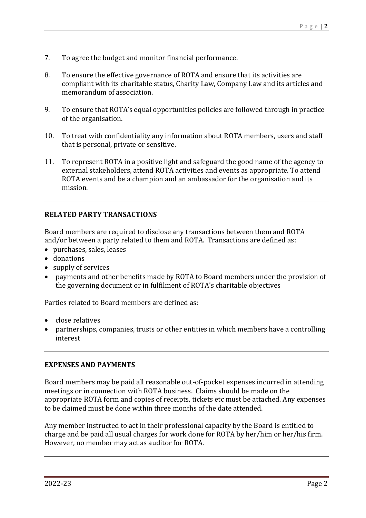- 7. To agree the budget and monitor financial performance.
- 8. To ensure the effective governance of ROTA and ensure that its activities are compliant with its charitable status, Charity Law, Company Law and its articles and memorandum of association.
- 9. To ensure that ROTA's equal opportunities policies are followed through in practice of the organisation.
- 10. To treat with confidentiality any information about ROTA members, users and staff that is personal, private or sensitive.
- 11. To represent ROTA in a positive light and safeguard the good name of the agency to external stakeholders, attend ROTA activities and events as appropriate. To attend ROTA events and be a champion and an ambassador for the organisation and its mission.

## **RELATED PARTY TRANSACTIONS**

Board members are required to disclose any transactions between them and ROTA and/or between a party related to them and ROTA. Transactions are defined as:

- purchases, sales, leases
- donations
- supply of services
- payments and other benefits made by ROTA to Board members under the provision of the governing document or in fulfilment of ROTA's charitable objectives

Parties related to Board members are defined as:

- close relatives
- partnerships, companies, trusts or other entities in which members have a controlling interest

## **EXPENSES AND PAYMENTS**

Board members may be paid all reasonable out-of-pocket expenses incurred in attending meetings or in connection with ROTA business. Claims should be made on the appropriate ROTA form and copies of receipts, tickets etc must be attached. Any expenses to be claimed must be done within three months of the date attended.

Any member instructed to act in their professional capacity by the Board is entitled to charge and be paid all usual charges for work done for ROTA by her/him or her/his firm. However, no member may act as auditor for ROTA.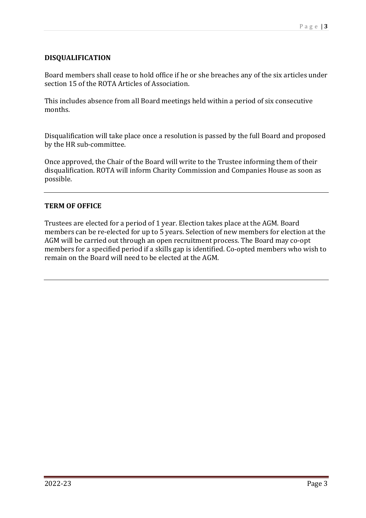## **DISQUALIFICATION**

Board members shall cease to hold office if he or she breaches any of the six articles under section 15 of the ROTA Articles of Association.

This includes absence from all Board meetings held within a period of six consecutive months.

Disqualification will take place once a resolution is passed by the full Board and proposed by the HR sub-committee.

Once approved, the Chair of the Board will write to the Trustee informing them of their disqualification. ROTA will inform Charity Commission and Companies House as soon as possible.

## **TERM OF OFFICE**

Trustees are elected for a period of 1 year. Election takes place at the AGM. Board members can be re-elected for up to 5 years. Selection of new members for election at the AGM will be carried out through an open recruitment process. The Board may co-opt members for a specified period if a skills gap is identified. Co-opted members who wish to remain on the Board will need to be elected at the  $AGM$ .